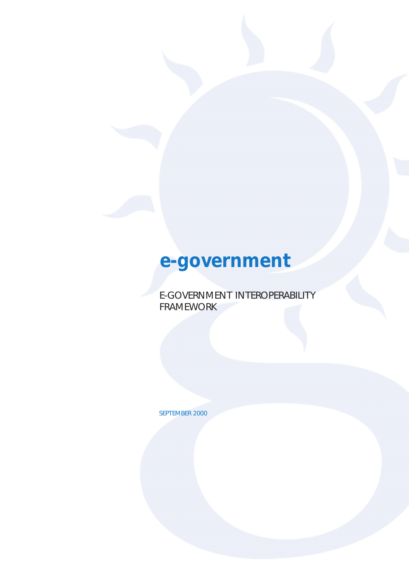# **e-government**

E-GOVERNMENT INTEROPERABILITY FRAMEWORK

SEPTEMBER 2000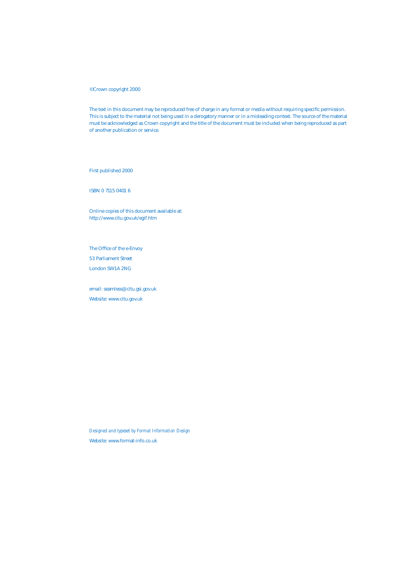#### © Crown copyright 2000

The text in this document may be reproduced free of charge in any format or media without requiring specific permission. This is subject to the material not being used in a derogatory manner or in a misleading context. The source of the material must be acknowledged as Crown copyright and the title of the document must be included when being reproduced as part of another publication or service.

First published 2000

ISBN 0 7115 0401 6

Online copies of this document available at: http://www.citu.gov.uk/egif.htm

[The Office of the e-Envoy](http://www.citu.gov.uk/egif.htm) 53 Parliament Street London SW1A 2NG

email: seamless@citu.gsi.gov.uk Website: www.citu.gov.uk

*Designed and typeset by Format Information Design* Website: www.format-info.co.uk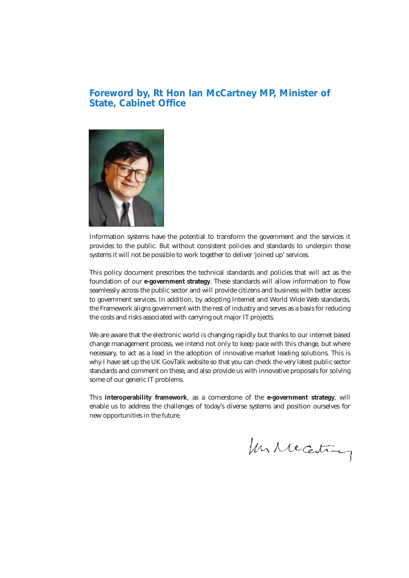# **Foreword by, Rt Hon Ian McCartney MP, Minister of State, Cabinet Office**



Information systems have the potential to transform the government and the services it provides to the public. But without consistent policies and standards to underpin those systems it will not be possible to work together to deliver 'joined up' services.

This policy document prescribes the technical standards and policies that will act as the foundation of our **e-government strategy**. These standards will allow information to flow seamlessly across the public sector and will provide citizens and business with better access to government services. In addition, by adopting Internet and World Wide Web standards, the Framework aligns government with the rest of industry and serves as a basis for reducing the costs and risks [associated with carrying](http://www.citu.gov.uk/iagc/strategy.htm) out major IT projects.

We are aware that the electronic world is changing rapidly but thanks to our internet based change management process, we intend not only to keep pace with this change, but where necessary, to act as a lead in the adoption of innovative market leading solutions. This is why I have set up the UK GovTalk website so that you can check the very latest public sector standards and comment on these, and also provide us with innovative proposals for solving some of our generic IT problems.

This **interoperability framework**, as a cornerstone of the **e-government strategy**, will enable us to address the challenges of today's diverse systems and position ourselves for new opportunities in the future.

In receiving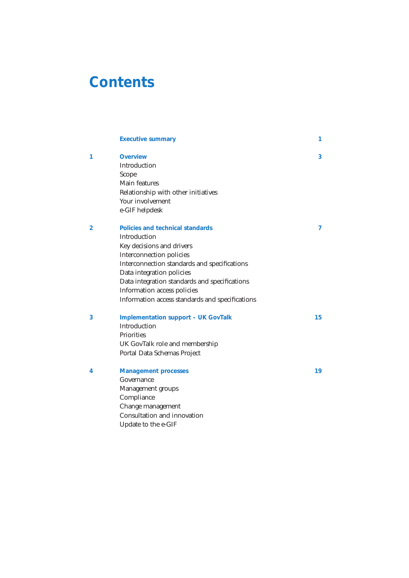# <span id="page-3-0"></span>**Contents**

|   | <b>Executive summary</b>                        | 1  |
|---|-------------------------------------------------|----|
| 1 | <b>Overview</b>                                 | 3  |
|   | Introduction                                    |    |
|   | Scope                                           |    |
|   | Main features                                   |    |
|   | Relationship with other initiatives             |    |
|   | Your involvement                                |    |
|   | e-GIF helpdesk                                  |    |
| 2 | Policies and technical standards                | 7  |
|   | Introduction                                    |    |
|   | Key decisions and drivers                       |    |
|   | Interconnection policies                        |    |
|   | Interconnection standards and specifications    |    |
|   | Data integration policies                       |    |
|   | Data integration standards and specifications   |    |
|   | Information access policies                     |    |
|   | Information access standards and specifications |    |
| 3 | <b>Implementation support - UK GovTalk</b>      | 15 |
|   | Introduction                                    |    |
|   | <b>Priorities</b>                               |    |
|   | UK GovTalk role and membership                  |    |
|   | Portal Data Schemas Project                     |    |
| 4 | <b>Management processes</b>                     | 19 |
|   | Governance                                      |    |
|   | Management groups                               |    |
|   | Compliance                                      |    |
|   | Change management                               |    |
|   | Consultation and innovation                     |    |
|   | Update to the e-GIF                             |    |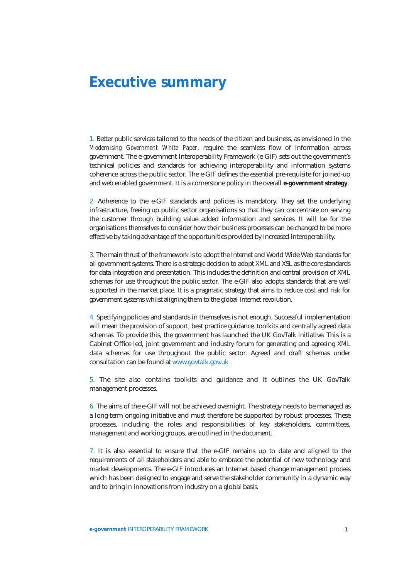# <span id="page-4-0"></span>**Executive summary**

1. Better public services tailored to the needs of the citizen and business, as envisioned in the *Modernising Government White Paper*, require the seamless flow of information across government. The e-government Interoperability Framework (e-GIF) sets out the government's technical policies and standards for achieving interoperability and information systems coherence across the public sector. The e-GIF defines the essential pre-requisite for joined-up [and web enabled government. It is a cor](http://www.citu.gov.uk/moderngov.whitepaper/4310.05.htm)nerstone policy in the overall **e-government strategy**.

2. Adherence to the e-GIF standards and policies is mandatory. They set the underlying infrastructure, freeing up public sector organisations so that they can concentrate on serving the customer through building value added information and serv[ices. It will be for the](http://www.citu.gov.uk/iagc/strategy.htm) organisations themselves to consider how their business processes can be changed to be more effective by taking advantage of the opportunities provided by increased interoperability.

3. The main thrust of the framework is to adopt the Internet and World Wide Web standards for all government systems. There is a strategic decision to adopt XML and XSL as the core standards for data integration and presentation. This includes the definition and central provision of XML schemas for use throughout the public sector. The e-GIF also adopts standards that are well supported in the market place. It is a pragmatic strategy that aims to reduce cost and risk for government systems whilst aligning them to the global Internet revolution.

4. Specifying policies and standards in themselves is not enough. Successful implementation will mean the provision of support, best practice guidance, toolkits and centrally agreed data schemas. To provide this, the government has launched the UK GovTalk initiative. This is a Cabinet Office led, joint government and industry forum for generating and agreeing XML data schemas for use throughout the public sector. Agreed and draft schemas under consultation can be found at www.govtalk.gov.uk

5. The site also contains toolkits and guidance and it outlines the UK GovTalk management processes.

6. The aims of the e-GIF will not be achieved overnight. The strategy needs to be managed as a long-term ongoing initiative and must therefore be supported by robust processes. These processes, including the roles and responsibilities of key stakeholders, committees, management and working groups, are outlined in the document.

7. It is also essential to ensure that the e-GIF remains up to date and aligned to the requirements of all stakeholders and able to embrace the potential of new technology and market developments. The e-GIF introduces an Internet based change management process which has been designed to engage and serve the stakeholder community in a dynamic way and to bring in innovations from industry on a global basis.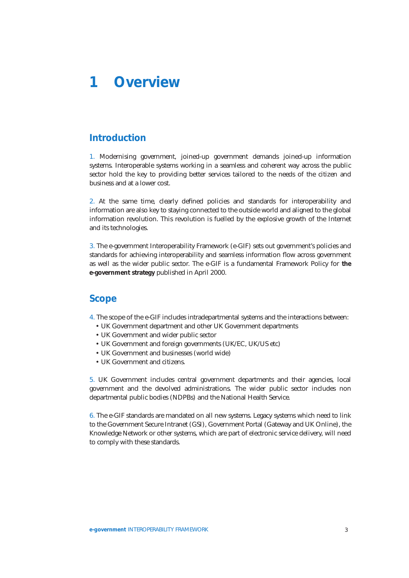<span id="page-5-0"></span>**1 Overview**

# **[Introduction](#page-3-0)**

1. Modernising government, joined-up government demands joined-up information systems. Interoperable systems working in a seamless and coherent way across the public sector hold the key to providing better services tailored to the needs of the citizen and business and at a lower cost.

2. At the same time, clearly defined policies and standards for interoperability and information are also key to staying connected to the outside world and aligned to the global information revolution. This revolution is fuelled by the explosive growth of the Internet and its technologies.

3. The e-government Interoperability Framework (e-GIF) sets out government's policies and standards for achieving interoperability and seamless information flow across government as well as the wider public sector. The e-GIF is a fundamental Framework Policy for **the e-government strategy** published in April 2000.

### **Scope**

[4. The scope of the e-GI](http://www.citu.gov.uk/iagc/strategy.htm)F includes intradepartmental systems and the interactions between:

- UK Government department and other UK Government departments
- UK Government and wider public sector
- UK Government and foreign governments (UK/EC, UK/US etc)
- UK Government and businesses (world wide)
- UK Government and citizens.

5. UK Government includes central government departments and their agencies, local government and the devolved administrations. The wider public sector includes non departmental public bodies (NDPBs) and the National Health Service.

6. The e-GIF standards are mandated on all new systems. Legacy systems which need to link to the Government Secure Intranet (GSI), Government Portal (Gateway and UK Online), the Knowledge Network or other systems, which are part of electronic service delivery, will need to comply with these standards.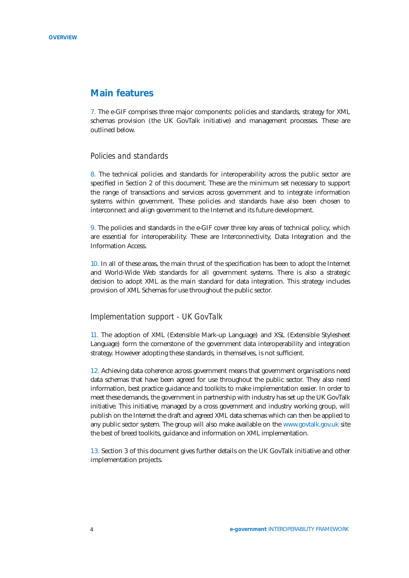### **Main features**

7. The e-GIF comprises three major components: policies and standards, strategy for XML schemas provision (the UK GovTalk initiative) and management processes. These are outlined below.

### *Policies and standards*

8. The technical policies and standards for interoperability across the public sector are specified in Section 2 of this document. These are the minimum set necessary to support the range of transactions and services across government and to integrate information systems within government. These policies and standards have also been chosen to interconnect and align government to the Internet and its future development.

9. The policies and standards in the e-GIF cover three key areas of technical policy, which are essential for interoperability. These are Interconnectivity, Data Integration and the Information Access.

10. In all of these areas, the main thrust of the specification has been to adopt the Internet and World-Wide Web standards for all government systems. There is also a strategic decision to adopt XML as the main standard for data integration. This strategy includes provision of XML Schemas for use throughout the public sector.

### *Implementation support - UK GovTalk*

11. The adoption of XML (Extensible Mark-up Language) and XSL (Extensible Stylesheet Language) form the cornerstone of the government data interoperability and integration strategy. However adopting these standards, in themselves, is not sufficient.

12. Achieving data coherence across government means that government organisations need data schemas that have been agreed for use throughout the public sector. They also need information, best practice guidance and toolkits to make implementation easier. In order to meet these demands, the government in partnership with industry has set up the UK GovTalk initiative. This initiative, managed by a cross government and industry working group, will publish on the Internet the draft and agreed XML data schemas which can then be applied to any public sector system. The group will also make available on the www.govtalk.gov.uk site the best of breed toolkits, guidance and information on XML implementation.

13. Section 3 of this document gives further details on the UK Gov[Talk initiative and ot](http://www.govtalk.gov.uk)her implementation projects.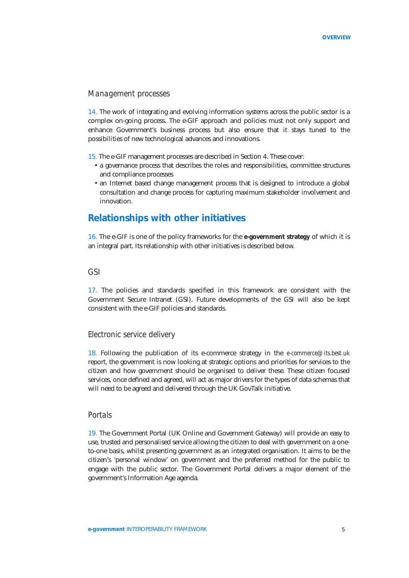### *Management processes*

14. The work of integrating and evolving information systems across the public sector is a complex on-going process. The e-GIF approach and policies must not only support and enhance Government's business process but also ensure that it stays tuned to the possibilities of new technological advances and innovations.

15. The e-GIF management processes are described in Section 4. These cover:

- a governance process that describes the roles and responsibilities, committee structures and compliance processes
- an Internet based change management process that is designed to introduce a global consultation and change process for capturing maximum stakeholder involvement and innovation.

# **Relationships with other initiatives**

16. The e-GIF is one of the policy frameworks for the **e-government strategy** of which it is an integral part. Its relationship with other initiatives is described below.

### *GSI*

17. The policies and standards specified in this framework are consistent with the Government Secure Intranet (GSI). Future developments of the GSI will also be kept consistent with the e-GIF policies and standards.

### *Electronic service delivery*

18. Following the publication of its e-commerce strategy in the *e-commerce@its.best.uk* report, the government is now looking at strategic options and priorities for services to the citizen and how government should be organised to deliver these. These citizen focused services, once defined and agreed, will act as major drivers for the types of data schemas that will need to be agreed and delivered through the UK GovTalk initiative.

### *Portals*

19. The Government Portal (UK Online and Government Gateway) will provide an easy to use, trusted and personalised service allowing the citizen to deal with government on a oneto-one basis, whilst presenting government as an integrated organisation. It aims to be the citizen's 'personal window' on government and the preferred method for the public to engage with the public sector. The Government Portal delivers a major element of the government's Information Age agenda.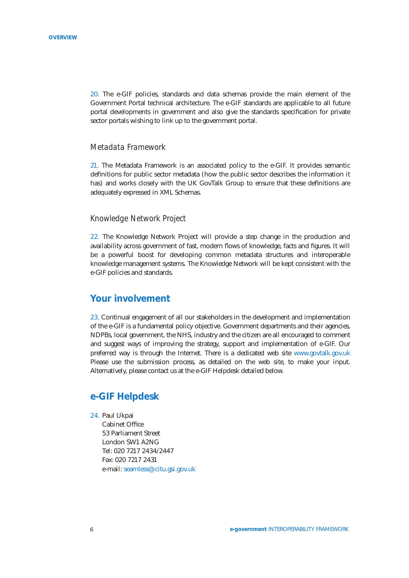20. The e-GIF policies, standards and data schemas provide the main element of the Government Portal technical architecture. The e-GIF standards are applicable to all future portal developments in government and also give the standards specification for private sector portals wishing to link up to the government portal.

### *Metadata Framework*

21. The Metadata Framework is an associated policy to the e-GIF. It provides semantic definitions for public sector metadata (how the public sector describes the information it has) and works closely with the UK GovTalk Group to ensure that these definitions are adequately expressed in XML Schemas.

### *Knowledge Network Project*

22. The Knowledge Network Project will provide a step change in the production and availability across government of fast, modern flows of knowledge, facts and figures. It will be a powerful boost for developing common metadata structures and interoperable knowledge management systems. The Knowledge Network will be kept consistent with the e-GIF policies and standards.

# **Your involvement**

23. Continual engagement of all our stakeholders in the development and implementation of the e-GIF is a fundamental policy objective. Government departments and their agencies, NDPBs, local government, the NHS, industry and the citizen are all encouraged to comment and suggest ways of improving the strategy, support and implementation of e-GIF. Our preferred way is through the Internet. There is a dedicated web site www.govtalk.gov.uk Please use the submission process, as detailed on the web site, to make your input. Alternatively, please contact us at the e-GIF Helpdesk detailed below.

### **e-GIF Helpdesk**

24. Paul Ukpai

Cabinet Office 53 Parliament Street London SW1 A2NG Tel: 020 7217 2434/2447 Fax: 020 7217 2431 e-mail: seamless@citu.gsi.gov.uk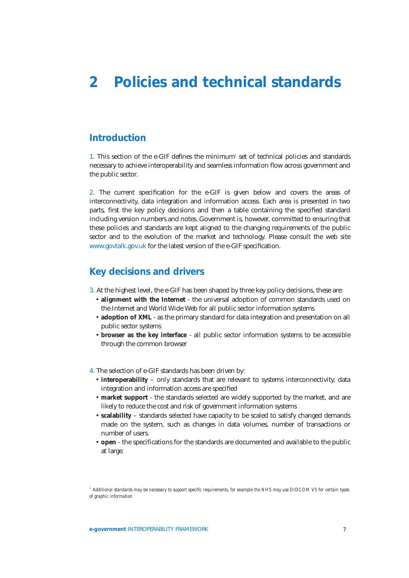# <span id="page-9-0"></span>**2 Policies and technical standards**

# **[Introduction](#page-3-0)**

1. This section of the e-GIF defines the minimum*<sup>1</sup>* set of technical policies and standards necessary to achieve interoperability and seamless information flow across government and the public sector.

2. The current specification for the e-GIF is given below and covers the areas of interconnectivity, data integration and information access. Each area is presented in two parts, first the key policy decisions and then a table containing the specified standard including version numbers and notes. Government is, however, committed to ensuring that these policies and standards are kept aligned to the changing requirements of the public sector and to the evolution of the market and technology. Please consult the web site www.govtalk.gov.uk for the latest version of the e-GIF specification.

# **Key decisions and drivers**

- [3. At the highest leve](http:www.govtalk.gov.uk)l, the e-GIF has been shaped by three key policy decisions, these are:
	- **alignment with the Internet** the universal adoption of common standards used on the Internet and World Wide Web for all public sector information systems
	- **adoption of XML** as the primary standard for data integration and presentation on all public sector systems
	- **browser as the key interface** all public sector information systems to be accessible through the common browser
- 4. The selection of e-GIF standards has been driven by:
	- **interoperability** only standards that are relevant to systems interconnectivity, data integration and information access are specified
	- **market support** the standards selected are widely supported by the market, and are likely to reduce the cost and risk of government information systems
	- **scalability** standards selected have capacity to be scaled to satisfy changed demands made on the system, such as changes in data volumes, number of transactions or number of users.
	- **open** the specifications for the standards are documented and available to the public at large.

*<sup>1</sup> Additional standards may be necessary to support specific requirements, for example the NHS may use DIDCOM V5 for certain types of graphic information*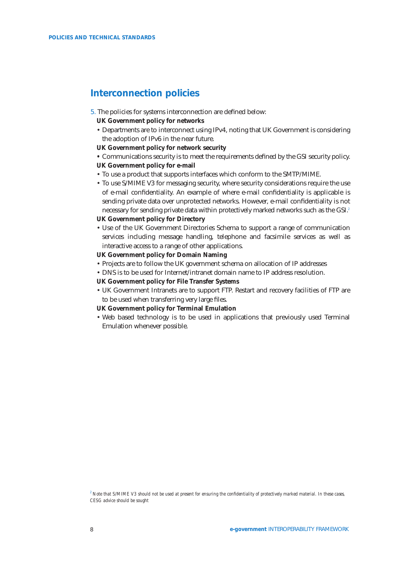# **Interconnection policies**

- 5. The policies for systems interconnection are defined below:
	- **UK Government policy for networks**
	- Departments are to interconnect using IPv4, noting that UK Government is considering the adoption of IPv6 in the near future.
	- **UK Government policy for network security**
	- **•** Communications security is to meet the requirements defined by the GSI security policy.
	- **UK Government policy for e-mail**
	- To use a product that supports interfaces which conform to the SMTP/MIME.
	- To use S/MIME V3 for messaging security, where security considerations require the use of e-mail confidentiality. An example of where e-mail confidentiality is applicable is sending private data over unprotected networks. However, e-mail confidentiality is not necessary for sending private data within protectively marked networks such as the GSI.*<sup>2</sup>*

### **UK Government policy for Directory**

• Use of the UK Government Directories Schema to support a range of communication services including message handling, telephone and facsimile services as well as interactive access to a range of other applications.

#### **UK Government policy for Domain Naming**

- Projects are to follow the UK government schema on allocation of IP addresses
- DNS is to be used for Internet/intranet domain name to IP address resolution.
- **UK Government policy for File Transfer Systems**
- UK Government Intranets are to support FTP. Restart and recovery facilities of FTP are to be used when transferring very large files.
- **UK Government policy for Terminal Emulation**
- Web based technology is to be used in applications that previously used Terminal Emulation whenever possible.

*2 Note that S/MIME V3 should not be used at present for ensuring the confidentiality of protectively marked material. In these cases, CESG advice should be sought*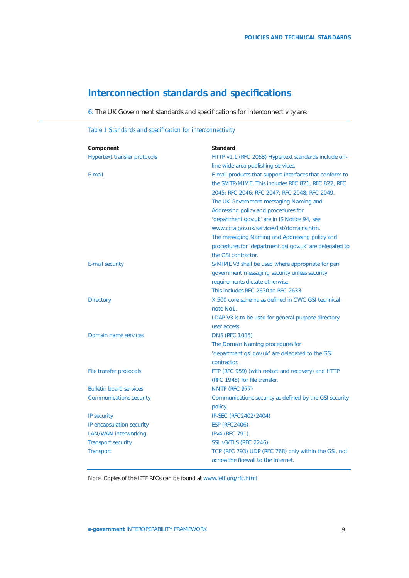# **Interconnection standards and specifications**

6. The UK Government standards and specifications for interconnectivity are:

| Component                           | Standard                                                |
|-------------------------------------|---------------------------------------------------------|
| <b>Hypertext transfer protocols</b> | HTTP v1.1 (RFC 2068) Hypertext standards include on-    |
|                                     | line wide-area publishing services.                     |
| F-mail                              | E-mail products that support interfaces that conform to |
|                                     | the SMTP/MIME. This includes RFC 821, RFC 822, RFC      |
|                                     | 2045; RFC 2046; RFC 2047; RFC 2048; RFC 2049.           |
|                                     | The UK Government messaging Naming and                  |
|                                     | Addressing policy and procedures for                    |
|                                     | 'department.gov.uk' are in IS Notice 94, see            |
|                                     | www.ccta.gov.uk/services/list/domains.htm.              |
|                                     | The messaging Naming and Addressing policy and          |
|                                     | procedures for 'department.gsi.gov.uk' are delegated to |
|                                     | the GSI contractor.                                     |
| E-mail security                     | S/MIME V3 shall be used where appropriate for pan       |
|                                     | government messaging security unless security           |
|                                     | requirements dictate otherwise.                         |
|                                     | This includes RFC 2630.to RFC 2633.                     |
| <b>Directory</b>                    | X.500 core schema as defined in CWC GSI technical       |
|                                     | note No1.                                               |
|                                     | LDAP V3 is to be used for general-purpose directory     |
|                                     | user access.                                            |
| Domain name services                | <b>DNS (RFC 1035)</b>                                   |
|                                     | The Domain Naming procedures for                        |
|                                     | 'department.gsi.gov.uk' are delegated to the GSI        |
|                                     | contractor.                                             |
| File transfer protocols             | FTP (RFC 959) (with restart and recovery) and HTTP      |
|                                     | (RFC 1945) for file transfer.                           |
| <b>Bulletin board services</b>      | <b>NNTP (RFC 977)</b>                                   |
| <b>Communications security</b>      | Communications security as defined by the GSI security  |
|                                     | policy.                                                 |
| IP security                         | IP-SEC (RFC2402/2404)                                   |
| IP encapsulation security           | <b>ESP (RFC2406)</b>                                    |
| <b>LAN/WAN interworking</b>         | <b>IPv4 (RFC 791)</b>                                   |
| <b>Transport security</b>           | <b>SSL v3/TLS (RFC 2246)</b>                            |
| Transport                           | TCP (RFC 793) UDP (RFC 768) only within the GSI, not    |
|                                     | across the firewall to the Internet.                    |

### *Table 1 Standards and specification for interconnectivity*

Note: Copies of the IETF RFCs can be found at www.ietf.org/rfc.html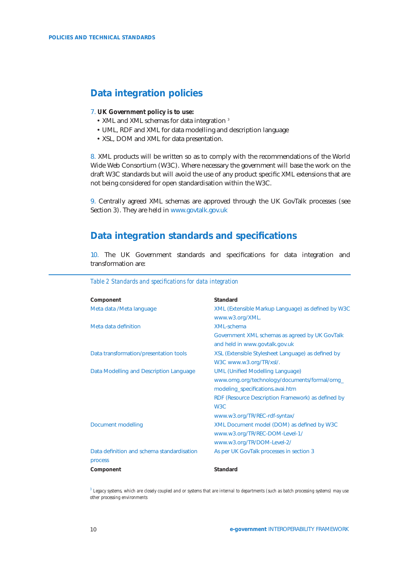# <span id="page-12-0"></span>**Data integration policies**

#### 7. **UK Government policy is to use:**

- XML and XML schemas for data integration<sup>3</sup>
- UML, RDF and XML for data modelling and description language
- XSL, DOM and XML for data presentation.

8. XML products will be written so as to comply with the recommendations of the World Wide Web Consortium (W3C). Where necessary the government will base the work on the draft W3C standards but will avoid the use of any product specific XML extensions that are not being considered for open standardisation within the W3C.

9. Centrally agreed XML schemas are approved through the UK GovTalk processes (see Section 3). They are held in www.govtalk.gov.uk

# **Data integration [standards and](http://www.govtalk.gov.uk) specifications**

10. The UK Government standards and specifications for data integration and transformation are:

| Component                                  | Standard                                           |
|--------------------------------------------|----------------------------------------------------|
| Meta data /Meta language                   | XML (Extensible Markup Language) as defined by W3C |
|                                            | www.w3.org/XML.                                    |
| Meta data definition                       | XMI-schema                                         |
|                                            | Government XML schemas as agreed by UK GovTalk     |
|                                            | and held in www.govtalk.gov.uk                     |
| Data transformation/presentation tools     | XSL (Extensible Stylesheet Language) as defined by |
|                                            | W3C www.w3.org/TR/xsl/.                            |
| Data Modelling and Description Language    | <b>UML (Unified Modelling Language)</b>            |
|                                            | www.omg.org/technology/documents/formal/omg_       |
|                                            | modeling_specifications.avai.htm                   |
|                                            | RDF (Resource Description Framework) as defined by |
|                                            | W <sub>3</sub> C                                   |
|                                            | www.w3.org/TR/REC-rdf-syntax/                      |
| Document modelling                         | XML Document model (DOM) as defined by W3C         |
|                                            | www.w3.org/TR/REC-DOM-Level-1/                     |
|                                            | www.w3.org/TR/DOM-Level-2/                         |
| Data definition and schema standardisation | As per UK GovTalk processes in section 3           |
| process                                    |                                                    |
| Component                                  | Standard                                           |

*Table 2 Standards and specifications for data integration*

*<sup>3</sup> Legacy systems, which are closely coupled and or systems that are internal to departments (such as batc[h processing sys](#page-16-0)tems) may use other processing environments*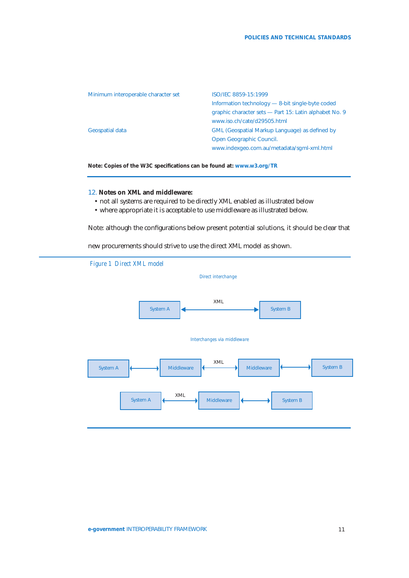| Minimum interoperable character set | ISO/IEC 8859-15:1999                                   |
|-------------------------------------|--------------------------------------------------------|
|                                     | Information technology - 8-bit single-byte coded       |
|                                     | graphic character sets - Part 15: Latin alphabet No. 9 |
|                                     | www.iso.ch/cate/d29505.html                            |
| Geospatial data                     | <b>GML (Geospatial Markup Language) as defined by</b>  |
|                                     | Open Geographic Council.                               |
|                                     | www.indexgeo.com.au/metadata/sqml-xml.html             |
|                                     |                                                        |

**Note: Copies of the W3C specifications can be found at: www.w3.org/TR**

### 12. **Notes on XML and middleware:**

- not all systems are required to be directly XML [enabled as illustra](http://www.w3.org/TR)ted below
- where appropriate it is acceptable to use middleware as illustrated below.

Note: although the configurations below present potential solutions, it should be clear that

new procurements should strive to use the direct XML model as shown.

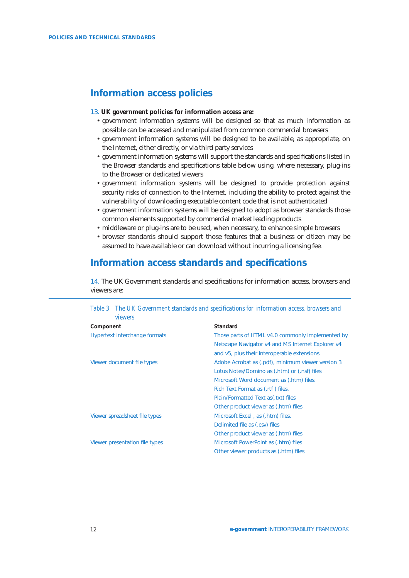# **Information access policies**

### 13. **UK government policies for information access are:**

- government information systems will be designed so that as much information as possible can be accessed and manipulated from common commercial browsers
- government information systems will be designed to be available, as appropriate, on the Internet, either directly, or via third party services
- government information systems will support the standards and specifications listed in the Browser standards and specifications table below using, where necessary, plug-ins to the Browser or dedicated viewers
- government information systems will be designed to provide protection against security risks of connection to the Internet, including the ability to protect against the vulnerability of downloading executable content code that is not authenticated
- government information systems will be designed to adopt as browser standards those common elements supported by commercial market leading products
- middleware or plug-ins are to be used, when necessary, to enhance simple browsers
- browser standards should support those features that a business or citizen may be assumed to have available or can download without incurring a licensing fee.

# **Information access standards and specifications**

14. The UK Government standards and specifications for information access, browsers and viewers are:

| Table 3 The UK Government standards and specifications for information access, browsers and<br>viewers |                                                   |  |  |  |
|--------------------------------------------------------------------------------------------------------|---------------------------------------------------|--|--|--|
| Component                                                                                              | Standard                                          |  |  |  |
| Hypertext interchange formats                                                                          | Those parts of HTML v4.0 commonly implemented by  |  |  |  |
|                                                                                                        | Netscape Navigator v4 and MS Internet Explorer v4 |  |  |  |
|                                                                                                        | and v5, plus their interoperable extensions.      |  |  |  |
| Viewer document file types                                                                             | Adobe Acrobat as (.pdf), minimum viewer version 3 |  |  |  |
|                                                                                                        | Lotus Notes/Domino as (.htm) or (.nsf) files      |  |  |  |
|                                                                                                        | Microsoft Word document as (.htm) files.          |  |  |  |
|                                                                                                        | Rich Text Format as (.rtf) files.                 |  |  |  |
|                                                                                                        | Plain/Formatted Text as (.txt) files              |  |  |  |
|                                                                                                        | Other product viewer as (.htm) files              |  |  |  |
| Viewer spreadsheet file types                                                                          | Microsoft Excel, as (.htm) files.                 |  |  |  |
|                                                                                                        | Delimited file as (.csv) files                    |  |  |  |
|                                                                                                        | Other product viewer as (.htm) files              |  |  |  |
| Viewer presentation file types                                                                         | Microsoft PowerPoint as (.htm) files              |  |  |  |
|                                                                                                        | Other viewer products as (.htm) files             |  |  |  |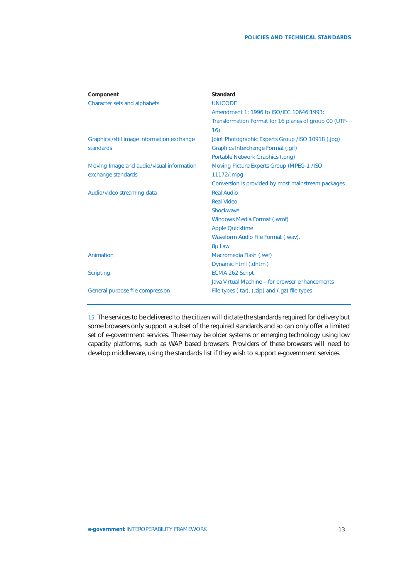| Component                                  | Standard                                              |
|--------------------------------------------|-------------------------------------------------------|
| <b>Character sets and alphabets</b>        | <b>UNICODE</b>                                        |
|                                            | Amendment 1: 1996 to ISO/IEC 10646:1993:              |
|                                            | Transformation Format for 16 planes of group 00 (UTF- |
|                                            | 16)                                                   |
| Graphical/still image information exchange | Joint Photographic Experts Group / ISO 10918 (.jpg)   |
| standards                                  | Graphics Interchange Format (.gif)                    |
|                                            | Portable Network Graphics (.png)                      |
| Moving Image and audio/visual information  | Moving Picture Experts Group (MPEG-1 /ISO             |
| exchange standards                         | 11172/.mpg                                            |
|                                            | Conversion is provided by most mainstream packages    |
| Audio/video streaming data                 | <b>Real Audio</b>                                     |
|                                            | <b>Real Video</b>                                     |
|                                            | Shockwave                                             |
|                                            | Windows Media Format (.wmf)                           |
|                                            | <b>Apple Quicktime</b>                                |
|                                            | Waveform Audio File Format (.wav).                    |
|                                            | 8µ Law                                                |
| Animation                                  | Macromedia Flash (.swf)                               |
|                                            | Dynamic html (.dhtml)                                 |
| <b>Scripting</b>                           | <b>ECMA 262 Script</b>                                |
|                                            | Java Virtual Machine – for browser enhancements       |
| General purpose file compression           | File types $(tar)$ , $(zip)$ and $(gz)$ file types    |

15. The services to be delivered to the citizen will dictate the standards required for delivery but some browsers only support a subset of the required standards and so can only offer a limited set of e-government services. These may be older systems or emerging technology using low capacity platforms, such as WAP based browsers. Providers of these browsers will need to develop middleware, using the standards list if they wish to support e-government services.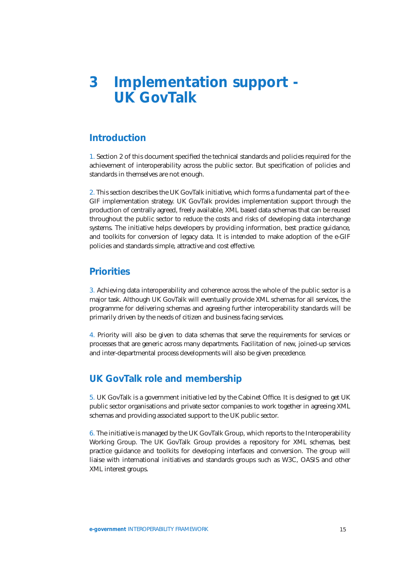# <span id="page-16-0"></span>**3 Implementation support - [UK GovTalk](#page-3-0)**

# **Introduction**

1. Section 2 of this document specified the technical standards and policies required for the achievement of interoperability across the public sector. But specification of policies and standards in themselves are not enough.

2. [This sectio](#page-9-0)n describes the UK GovTalk initiative, which forms a fundamental part of the e-GIF implementation strategy. UK GovTalk provides implementation support through the production of centrally agreed, freely available, XML based data schemas that can be reused throughout the public sector to reduce the costs and risks of developing data interchange systems. The initiative helps developers by providing information, best practice guidance, and toolkits for conversion of legacy data. It is intended to make adoption of the e-GIF policies and standards simple, attractive and cost effective.

### **Priorities**

3. Achieving data interoperability and coherence across the whole of the public sector is a major task. Although UK GovTalk will eventually provide XML schemas for all services, the programme for delivering schemas and agreeing further interoperability standards will be primarily driven by the needs of citizen and business facing services.

4. Priority will also be given to data schemas that serve the requirements for services or processes that are generic across many departments. Facilitation of new, joined-up services and inter-departmental process developments will also be given precedence.

# **UK GovTalk role and membership**

5. UK GovTalk is a government initiative led by the Cabinet Office. It is designed to get UK public sector organisations and private sector companies to work together in agreeing XML schemas and providing associated support to the UK public sector.

6. The initiative is managed by the UK GovTalk Group, which reports to the Interoperability Working Group. The UK GovTalk Group provides a repository for XML schemas, best practice guidance and toolkits for developing interfaces and conversion. The group will liaise with international initiatives and standards groups such as W3C, OASIS and other XML interest groups.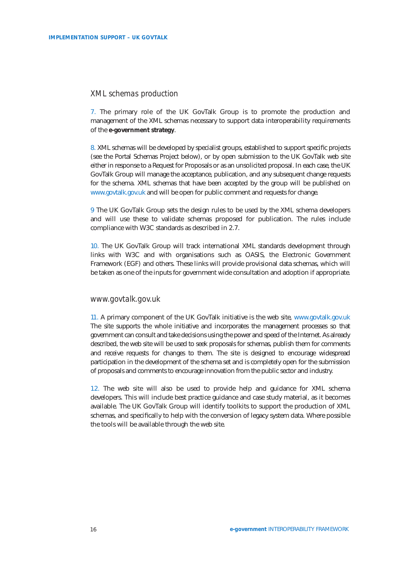### *XML schemas production*

7. The primary role of the UK GovTalk Group is to promote the production and management of the XML schemas necessary to support data interoperability requirements of the **e-government strategy**.

8. XML schemas will be developed by specialist groups, established to support specific projects (see the Portal Schemas Project below), or by open submission to the UK GovTalk web site either [in response to a Request fo](http://www.citu.gov.uk/iagc/strategy.htm)r Proposals or as an unsolicited proposal. In each case, the UK GovTalk Group will manage the acceptance, publication, and any subsequent change requests for the schema. XML schemas that have been accepted by the group will be published on www.govtalk.gov.uk and will be open for public comment and requests for change.

9 The UK GovTalk Group sets the design rules to be used by the XML schema developers and will use these to validate schemas proposed for publication. The rules include [compliance with W3](http://www.govtalk.gov.uk)C standards as described in 2.7.

10. The UK GovTalk Group will track international XML standards development through links with W3C and with organisations such as OASIS, the Electronic Government Framework (EGF) and others. These links will p[rovide p](#page-12-0)rovisional data schemas, which will be taken as one of the inputs for government wide consultation and adoption if appropriate.

### *www.govtalk.gov.uk*

11. A primary component of the UK GovTalk initiative is the web site, www.govtalk.gov.uk The site supports the whole initiative and incorporates the management processes so that government can consult and take decisions using the power and speed of the Internet. As already described, the web site will be used to seek proposals for schemas, publish them for comments and receive requests for changes to them. The site is designed to e[ncourage widespread](http://www.govtalk.gov.uk) participation in the development of the schema set and is completely open for the submission of proposals and comments to encourage innovation from the public sector and industry.

12. The web site will also be used to provide help and guidance for XML schema developers. This will include best practice guidance and case study material, as it becomes available. The UK GovTalk Group will identify toolkits to support the production of XML schemas, and specifically to help with the conversion of legacy system data. Where possible the tools will be available through the web site.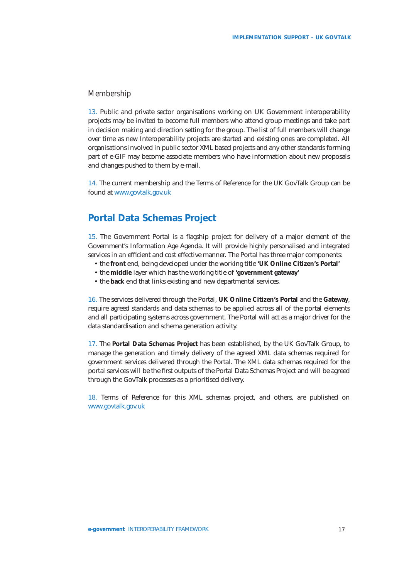### *Membership*

13. Public and private sector organisations working on UK Government interoperability projects may be invited to become full members who attend group meetings and take part in decision making and direction setting for the group. The list of full members will change over time as new Interoperability projects are started and existing ones are completed. All organisations involved in public sector XML based projects and any other standards forming part of e-GIF may become associate members who have information about new proposals and changes pushed to them by e-mail.

14. The current membership and the Terms of Reference for the UK GovTalk Group can be found at www.govtalk.gov.uk

# **Portal Data Schemas Project**

15. The [Government Portal i](http://wwwgovtalk.gov.uk)s a flagship project for delivery of a major element of the Government's Information Age Agenda. It will provide highly personalised and integrated services in an efficient and cost effective manner. The Portal has three major components:

- the **front** end, being developed under the working title **'UK Online Citizen's Portal'**
- the **middle** layer which has the working title of **'government gateway'**
- the **back** end that links existing and new departmental services.

16. The services delivered through the Portal, **UK Online Citizen's Portal** and the **Gateway**, require agreed standards and data schemas to be applied across all of the portal elements and all participating systems across government. The Portal will act as a major driver for the data standardisation and schema generation activity.

17. The **Portal Data Schemas Project** has been established, by the UK GovTalk Group, to manage the generation and timely delivery of the agreed XML data schemas required for government services delivered through the Portal. The XML data schemas required for the portal services will be the first outputs of the Portal Data Schemas Project and will be agreed through the GovTalk processes as a prioritised delivery.

18. Terms of Reference for this XML schemas project, and others, are published on www.govtalk.gov.uk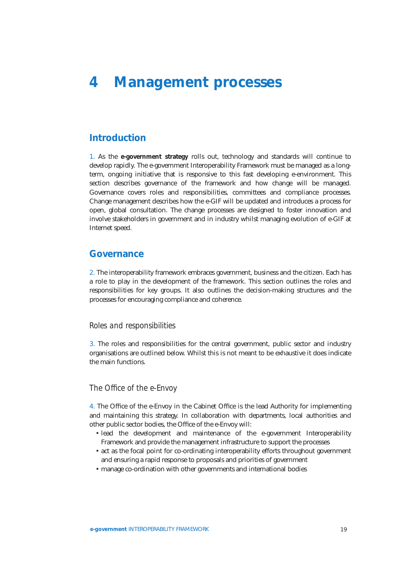# <span id="page-19-0"></span>**4 Management processes**

# **[Introduction](#page-3-0)**

1. As the **e-government strategy** rolls out, technology and standards will continue to develop rapidly. The e-government Interoperability Framework must be managed as a longterm, ongoing initiative that is responsive to this fast developing e-environment. This section describes governance of the framework and how change will be managed. Governa[nce covers roles and res](http://www.citu.gov.uk/iagc/strategy.htm)ponsibilities, committees and compliance processes. Change management describes how the e-GIF will be updated and introduces a process for open, global consultation. The change processes are designed to foster innovation and involve stakeholders in government and in industry whilst managing evolution of e-GIF at Internet speed.

### **Governance**

2. The interoperability framework embraces government, business and the citizen. Each has a role to play in the development of the framework. This section outlines the roles and responsibilities for key groups. It also outlines the decision-making structures and the processes for encouraging compliance and coherence.

### *Roles and responsibilities*

3. The roles and responsibilities for the central government, public sector and industry organisations are outlined below. Whilst this is not meant to be exhaustive it does indicate the main functions.

### *The Office of the e-Envoy*

4. The Office of the e-Envoy in the Cabinet Office is the lead Authority for implementing and maintaining this strategy. In collaboration with departments, local authorities and other public sector bodies, the Office of the e-Envoy will:

- lead the development and maintenance of the e-government Interoperability Framework and provide the management infrastructure to support the processes
- act as the focal point for co-ordinating interoperability efforts throughout government and ensuring a rapid response to proposals and priorities of government
- manage co-ordination with other governments and international bodies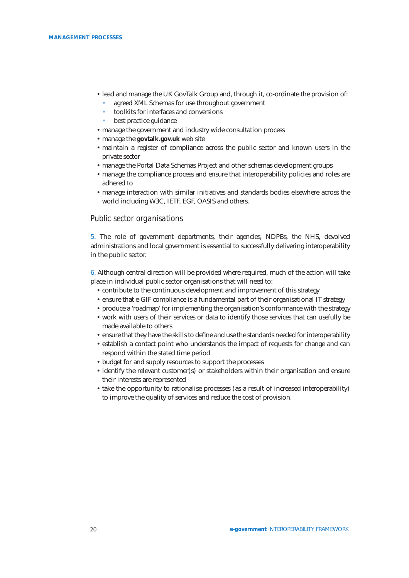- lead and manage the UK GovTalk Group and, through it, co-ordinate the provision of:
	- agreed XML Schemas for use throughout government
	- toolkits for interfaces and conversions
	- best practice guidance
- manage the government and industry wide consultation process
- manage the **govtalk.gov.uk** web site
- maintain a register of compliance across the public sector and known users in the private sector
- manage the Portal Data Schemas Project and other schemas development groups
- manage the [compliance proc](http://www.govtalk.gov.uk)ess and ensure that interoperability policies and roles are adhered to
- manage interaction with similar initiatives and standards bodies elsewhere across the world including W3C, IETF, EGF, OASIS and others.

### *Public sector organisations*

5. The role of government departments, their agencies, NDPBs, the NHS, devolved administrations and local government is essential to successfully delivering interoperability in the public sector.

6. Although central direction will be provided where required, much of the action will take place in individual public sector organisations that will need to:

- contribute to the continuous development and improvement of this strategy
- ensure that e-GIF compliance is a fundamental part of their organisational IT strategy
- produce a 'roadmap' for implementing the organisation's conformance with the strategy
- work with users of their services or data to identify those services that can usefully be made available to others
- ensure that they have the skills to define and use the standards needed for interoperability
- establish a contact point who understands the impact of requests for change and can respond within the stated time period
- budget for and supply resources to support the processes
- identify the relevant customer(s) or stakeholders within their organisation and ensure their interests are represented
- take the opportunity to rationalise processes (as a result of increased interoperability) to improve the quality of services and reduce the cost of provision.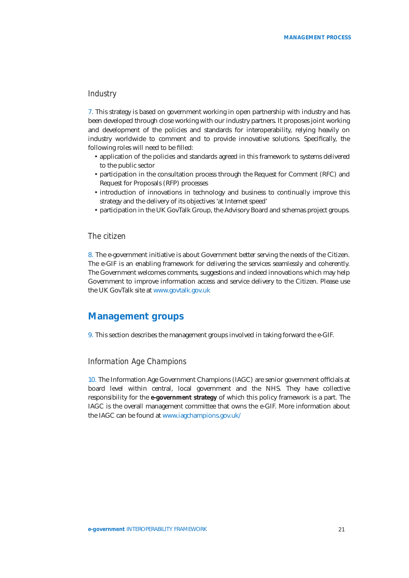### *Industry*

7. This strategy is based on government working in open partnership with industry and has been developed through close working with our industry partners. It proposes joint working and development of the policies and standards for interoperability, relying heavily on industry worldwide to comment and to provide innovative solutions. Specifically, the following roles will need to be filled:

- application of the policies and standards agreed in this framework to systems delivered to the public sector
- participation in the consultation process through the Request for Comment (RFC) and Request for Proposals (RFP) processes
- introduction of innovations in technology and business to continually improve this strategy and the delivery of its objectives 'at Internet speed'
- participation in the UK GovTalk Group, the Advisory Board and schemas project groups.

### *The citizen*

8. The e-government initiative is about Government better serving the needs of the Citizen. The e-GIF is an enabling framework for delivering the services seamlessly and coherently. The Government welcomes comments, suggestions and indeed innovations which may help Government to improve information access and service delivery to the Citizen. Please use the UK GovTalk site at www.govtalk.gov.uk

### **Management [groups](http://www.govtalk.gov.uk)**

9. This section describes the management groups involved in taking forward the e-GIF.

### *Information Age Champions*

10. The Information Age Government Champions (IAGC) are senior government officials at board level within central, local government and the NHS. They have collective responsibility for the **e-government strategy** of which this policy framework is a part. The IAGC is the overall management committee that owns the e-GIF. More information about the IAGC can be found at www.iagchampions.gov.uk/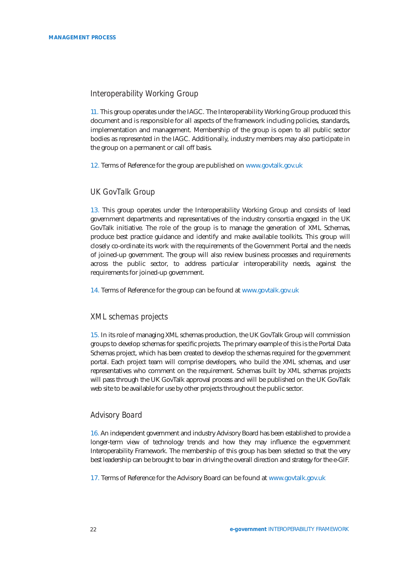### *Interoperability Working Group*

11. This group operates under the IAGC. The Interoperability Working Group produced this document and is responsible for all aspects of the framework including policies, standards, implementation and management. Membership of the group is open to all public sector bodies as represented in the IAGC. Additionally, industry members may also participate in the group on a permanent or call off basis.

12. Terms of Reference for the group are published on www.govtalk.gov.uk

### *UK GovTalk Group*

13. This group operates under the Interoperability [Working Group and co](http://www.govtalk.gov.uk)nsists of lead government departments and representatives of the industry consortia engaged in the UK GovTalk initiative. The role of the group is to manage the generation of XML Schemas, produce best practice guidance and identify and make available toolkits. This group will closely co-ordinate its work with the requirements of the Government Portal and the needs of joined-up government. The group will also review business processes and requirements across the public sector, to address particular interoperability needs, against the requirements for joined-up government.

14. Terms of Reference for the group can be found at www.govtalk.gov.uk

### *XML schemas projects*

15. In its role of managing XML schemas production, t[he UK GovTalk Group](http://www.govtalk.gov.uk) will commission groups to develop schemas for specific projects. The primary example of this is the Portal Data Schemas project, which has been created to develop the schemas required for the government portal. Each project team will comprise developers, who build the XML schemas, and user representatives who comment on the requirement. Schemas built by XML schemas projects will pass through the UK GovTalk approval process and will be published on the UK GovTalk web site to be available for use by other projects throughout the public sector.

### *Advisory Board*

16. An independent government and industry Advisory Board has been established to provide a longer-term view of technology trends and how they may influence the e-government Interoperability Framework. The membership of this group has been selected so that the very best leadership can be brought to bear in driving the overall direction and strategy for the e-GIF.

17. Terms of Reference for the Advisory Board can be found at www.govtalk.gov.uk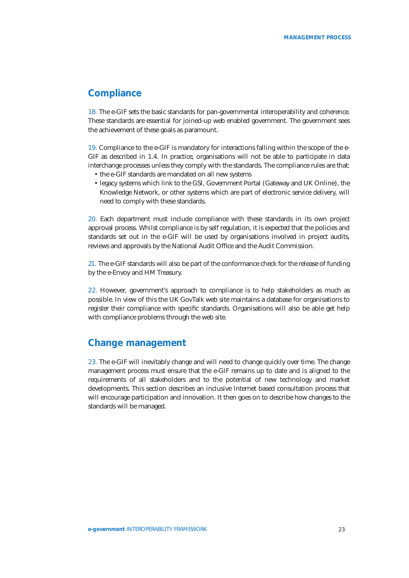## **Compliance**

18. The e-GIF sets the basic standards for pan-governmental interoperability and coherence. These standards are essential for joined-up web enabled government. The government sees the achievement of these goals as paramount.

19. Compliance to the e-GIF is mandatory for interactions falling within the scope of the e-GIF as described in 1.4. In practice, organisations will not be able to participate in data interchange processes unless they comply with the standards. The compliance rules are that:

- the e-GIF standards are mandated on all new systems
- legacy systems which link to the GSI, Government Portal (Gateway and UK Online), the Knowledge Network, or other systems which are part of electronic service delivery, will need to comply with these standards.

20. Each department must include compliance with these standards in its own project approval process. Whilst compliance is by self regulation, it is expected that the policies and standards set out in the e-GIF will be used by organisations involved in project audits, reviews and approvals by the National Audit Office and the Audit Commission.

21. The e-GIF standards will also be part of the conformance check for the release of funding by the e-Envoy and HM Treasury.

22. However, government's approach to compliance is to help stakeholders as much as possible. In view of this the UK GovTalk web site maintains a database for organisations to register their compliance with specific standards. Organisations will also be able get help with compliance problems through the web site.

# **Change management**

23. The e-GIF will inevitably change and will need to change quickly over time. The change management process must ensure that the e-GIF remains up to date and is aligned to the requirements of all stakeholders and to the potential of new technology and market developments. This section describes an inclusive Internet based consultation process that will encourage participation and innovation. It then goes on to describe how changes to the standards will be managed.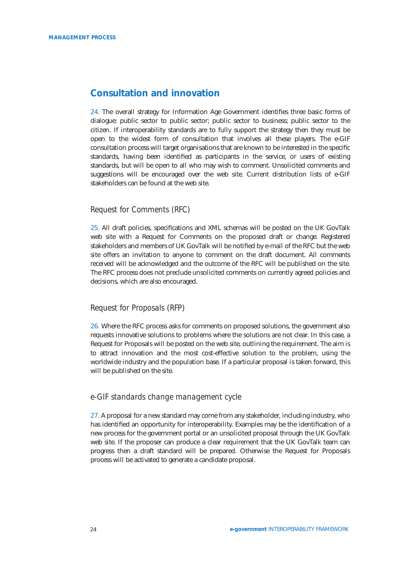# **Consultation and innovation**

24. The overall strategy for Information Age Government identifies three basic forms of dialogue: public sector to public sector; public sector to business; public sector to the citizen. If interoperability standards are to fully support the strategy then they must be open to the widest form of consultation that involves all these players. The e-GIF consultation process will target organisations that are known to be interested in the specific standards, having been identified as participants in the service, or users of existing standards, but will be open to all who may wish to comment. Unsolicited comments and suggestions will be encouraged over the web site. Current distribution lists of e-GIF stakeholders can be found at the web site.

### *Request for Comments (RFC)*

25. All draft policies, specifications and XML schemas will be posted on the UK GovTalk web site with a Request for Comments on the proposed draft or change. Registered stakeholders and members of UK GovTalk will be notified by e-mail of the RFC but the web site offers an invitation to anyone to comment on the draft document. All comments received will be acknowledged and the outcome of the RFC will be published on the site. The RFC process does not preclude unsolicited comments on currently agreed policies and decisions, which are also encouraged.

### *Request for Proposals (RFP)*

26. Where the RFC process asks for comments on proposed solutions, the government also requests innovative solutions to problems where the solutions are not clear. In this case, a Request for Proposals will be posted on the web site, outlining the requirement. The aim is to attract innovation and the most cost-effective solution to the problem, using the worldwide industry and the population base. If a particular proposal is taken forward, this will be published on the site.

### *e-GIF standards change management cycle*

27. A proposal for a new standard may come from any stakeholder, including industry, who has identified an opportunity for interoperability. Examples may be the identification of a new process for the government portal or an unsolicited proposal through the UK GovTalk web site. If the proposer can produce a clear requirement that the UK GovTalk team can progress then a draft standard will be prepared. Otherwise the Request for Proposals process will be activated to generate a candidate proposal.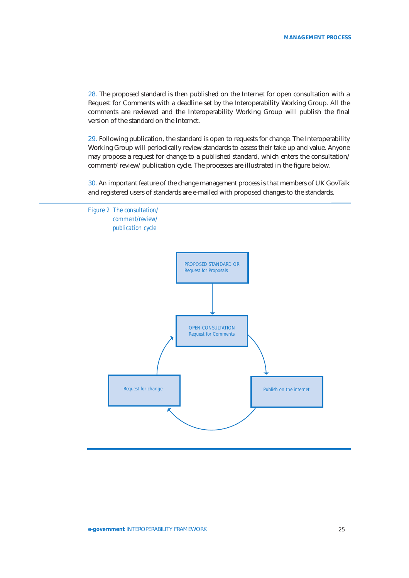28. The proposed standard is then published on the Internet for open consultation with a Request for Comments with a deadline set by the Interoperability Working Group. All the comments are reviewed and the Interoperability Working Group will publish the final version of the standard on the Internet.

29. Following publication, the standard is open to requests for change. The Interoperability Working Group will periodically review standards to assess their take up and value. Anyone may propose a request for change to a published standard, which enters the consultation/ comment/ review/ publication cycle. The processes are illustrated in the figure below.

30. An important feature of the change management process is that members of UK GovTalk and registered users of standards are e-mailed with proposed changes to the standards.